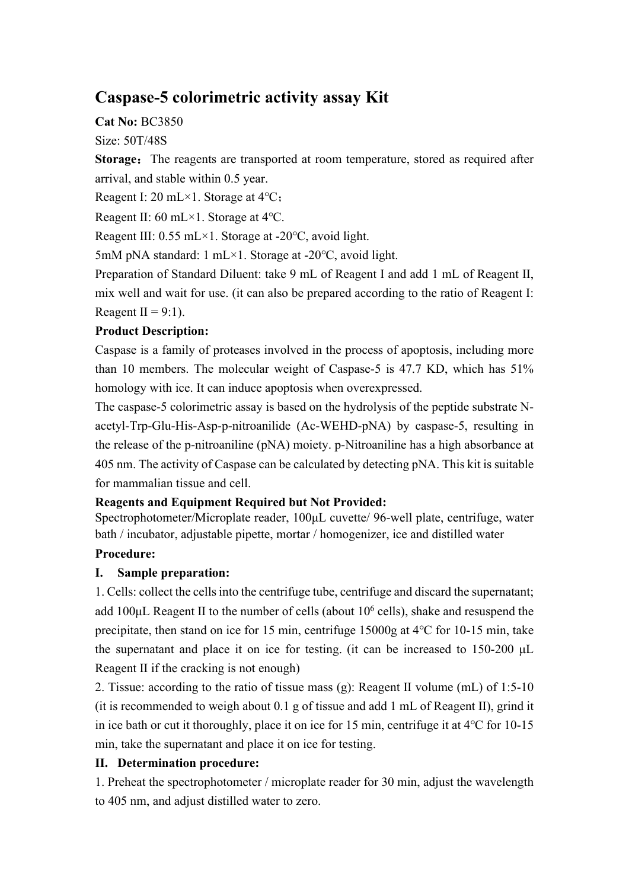# **Caspase-5 colorimetric activity assay Kit**

**Cat No:** BC3850

Size: 50T/48S

**Storage:** The reagents are transported at room temperature, stored as required after arrival, and stable within 0.5 year.

Reagent Ⅰ: 20 mL×1. Storage at 4℃;

Reagent Ⅱ: 60 mL×1. Storage at 4℃.

Reagent Ⅲ: 0.55 mL×1. Storage at -20℃, avoid light.

5mM pNA standard: 1 mL×1. Storage at -20℃, avoid light.

Preparation of Standard Diluent: take 9 mL of Reagent I and add 1 mL of Reagent II, mix well and wait for use. (it can also be prepared according to the ratio of Reagent Ⅰ: Reagent  $II = 9:1$ ).

## **Product Description:**

Caspase is a family of proteases involved in the process of apoptosis, including more than 10 members. The molecular weight of Caspase-5 is 47.7 KD, which has 51% homology with ice. It can induce apoptosis when overexpressed.

The caspase-5 colorimetric assay is based on the hydrolysis of the peptide substrate Nacetyl-Trp-Glu-His-Asp-p-nitroanilide (Ac-WEHD-pNA) by caspase-5, resulting in the release of the p-nitroaniline (pNA) moiety. p-Nitroaniline has a high absorbance at 405 nm. The activity of Caspase can be calculated by detecting pNA. This kit is suitable for mammalian tissue and cell.

## **Reagents and Equipment Required but Not Provided:**

Spectrophotometer/Microplate reader, 100μL cuvette/ 96-well plate, centrifuge, water bath / incubator, adjustable pipette, mortar / homogenizer, ice and distilled water

## **Procedure:**

## **I. Sample preparation:**

1. Cells: collect the cells into the centrifuge tube, centrifuge and discard the supernatant; add 100μL Reagent II to the number of cells (about 10<sup>6</sup> cells), shake and resuspend the precipitate, then stand on ice for 15 min, centrifuge 15000g at 4℃ for 10-15 min, take the supernatant and place it on ice for testing. (it can be increased to 150-200 μL Reagent Ⅱ if the cracking is not enough)

2. Tissue: according to the ratio of tissue mass (g): Reagent Ⅱ volume (mL) of 1:5-10 (it is recommended to weigh about 0.1 g of tissue and add 1 mL of Reagent Ⅱ), grind it in ice bath or cut it thoroughly, place it on ice for 15 min, centrifuge it at 4℃ for 10-15 min, take the supernatant and place it on ice for testing.

## **II. Determination procedure:**

1. Preheat the spectrophotometer / microplate reader for 30 min, adjust the wavelength to 405 nm, and adjust distilled water to zero.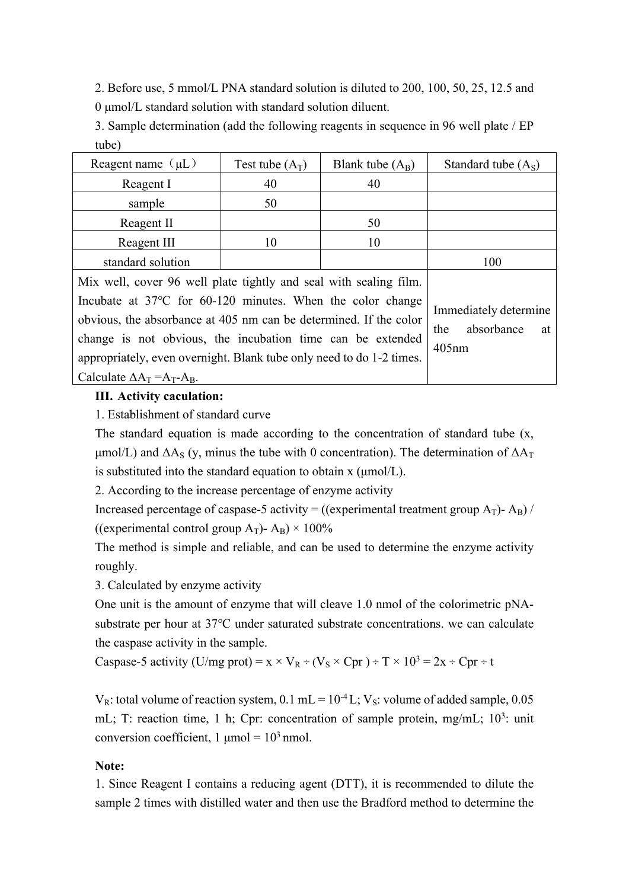2. Before use, 5 mmol/L PNA standard solution is diluted to 200, 100, 50, 25, 12.5 and

0 μmol/L standard solution with standard solution diluent.

3. Sample determination (add the following reagents in sequence in 96 well plate / EP tube)

| Reagent name $(\mu L)$                                                                                                                                                                                                                                                       | Test tube $(A_T)$ | Blank tube $(A_B)$ | Standard tube $(As)$                                         |
|------------------------------------------------------------------------------------------------------------------------------------------------------------------------------------------------------------------------------------------------------------------------------|-------------------|--------------------|--------------------------------------------------------------|
| Reagent I                                                                                                                                                                                                                                                                    | 40                | 40                 |                                                              |
| sample                                                                                                                                                                                                                                                                       | 50                |                    |                                                              |
| Reagent II                                                                                                                                                                                                                                                                   |                   | 50                 |                                                              |
| Reagent III                                                                                                                                                                                                                                                                  | 10                | 10                 |                                                              |
| standard solution                                                                                                                                                                                                                                                            |                   |                    | 100                                                          |
| Mix well, cover 96 well plate tightly and seal with sealing film.<br>Incubate at $37^{\circ}$ C for 60-120 minutes. When the color change<br>obvious, the absorbance at 405 nm can be determined. If the color<br>change is not obvious, the incubation time can be extended |                   |                    | Immediately determine<br>absorbance<br>the<br>at<br>$405$ nm |
| appropriately, even overnight. Blank tube only need to do 1-2 times.                                                                                                                                                                                                         |                   |                    |                                                              |
| Calculate $\Delta A_T = A_T - A_B$ .                                                                                                                                                                                                                                         |                   |                    |                                                              |

#### **III. Activity caculation:**

1. Establishment of standard curve

The standard equation is made according to the concentration of standard tube (x, μmol/L) and  $ΔA<sub>S</sub>$  (y, minus the tube with 0 concentration). The determination of  $ΔA<sub>T</sub>$ is substituted into the standard equation to obtain x (μmol/L).

2. According to the increase percentage of enzyme activity

Increased percentage of caspase-5 activity = ((experimental treatment group  $A_T$ )-  $A_B$ ) / ((experimental control group  $A_T$ )-  $A_B$ ) × 100%

The method is simple and reliable, and can be used to determine the enzyme activity roughly.

3. Calculated by enzyme activity

One unit is the amount of enzyme that will cleave 1.0 nmol of the colorimetric pNAsubstrate per hour at 37℃ under saturated substrate concentrations. we can calculate the caspase activity in the sample.

Caspase-5 activity (U/mg prot) =  $x \times V_R$  ÷ ( $V_S \times Cpr$ ) ÷ T  $\times$  10<sup>3</sup> = 2x ÷ Cpr ÷ t

 $V_R$ : total volume of reaction system, 0.1 mL =  $10^{-4}$  L;  $V_S$ : volume of added sample, 0.05 mL; T: reaction time, 1 h; Cpr: concentration of sample protein, mg/mL;  $10^3$ : unit conversion coefficient, 1  $\mu$ mol = 10<sup>3</sup> nmol.

#### **Note:**

1. Since Reagent I contains a reducing agent (DTT), it is recommended to dilute the sample 2 times with distilled water and then use the Bradford method to determine the